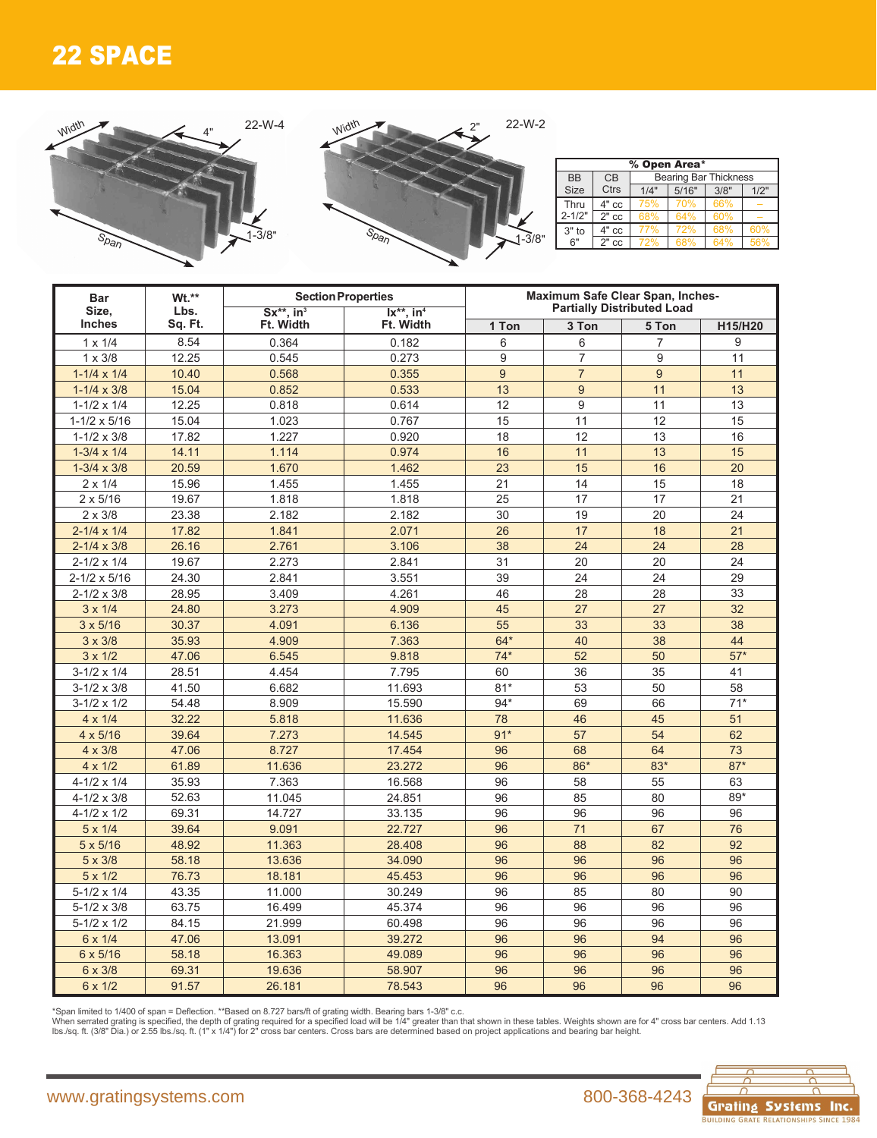## 22 SPACE

Width



2" 1-3/8"

| % Open Area* |             |                              |       |      |      |  |  |  |  |  |  |  |  |
|--------------|-------------|------------------------------|-------|------|------|--|--|--|--|--|--|--|--|
| <b>BB</b>    | CB          | <b>Bearing Bar Thickness</b> |       |      |      |  |  |  |  |  |  |  |  |
| <b>Size</b>  | <b>Ctrs</b> | 1/4"                         | 5/16" | 3/8" | 1/2" |  |  |  |  |  |  |  |  |
| Thru         | $4"$ cc     | 75%                          | 70%   | 66%  |      |  |  |  |  |  |  |  |  |
| $2 - 1/2"$   | $2"$ cc     | 68%                          | 64%   | 60%  |      |  |  |  |  |  |  |  |  |
| $3"$ to      | $4"$ cc     | 77%                          | 72%   | 68%  | 60%  |  |  |  |  |  |  |  |  |
| 6"           | $2"$ $cc$   | 72%                          | 68%   | 64%  | 56%  |  |  |  |  |  |  |  |  |

| <b>Bar</b>             | Wt.**   |                                          | <b>Section Properties</b>                          | Maximum Safe Clear Span, Inches-  |                |                |         |  |  |  |
|------------------------|---------|------------------------------------------|----------------------------------------------------|-----------------------------------|----------------|----------------|---------|--|--|--|
| Size,<br><b>Inches</b> | Lbs.    | $Sx^{**}$ . in <sup>3</sup><br>Ft. Width | $\overline{X^{**}}$ . in <sup>4</sup><br>Ft. Width | <b>Partially Distributed Load</b> |                |                |         |  |  |  |
|                        | Sq. Ft. |                                          |                                                    | 1 Ton                             | 3 Ton          | 5 Ton          | H15/H20 |  |  |  |
| $1 \times 1/4$         | 8.54    | 0.364                                    | 0.182                                              | 6                                 | 6              | 7              | 9       |  |  |  |
| $1 \times 3/8$         | 12.25   | 0.545                                    | 0.273                                              | 9                                 | $\overline{7}$ | 9              | 11      |  |  |  |
| $1-1/4 \times 1/4$     | 10.40   | 0.568                                    | 0.355                                              | 9                                 | $\overline{7}$ | $\overline{9}$ | 11      |  |  |  |
| $1 - 1/4 \times 3/8$   | 15.04   | 0.852                                    | 0.533                                              | 13                                | 9              | 11             | 13      |  |  |  |
| $1 - 1/2 \times 1/4$   | 12.25   | 0.818                                    | 0.614                                              | 12                                | 9              | 11             | 13      |  |  |  |
| $1-1/2 \times 5/16$    | 15.04   | 1.023                                    | 0.767                                              | 15                                | 11             | 12             | 15      |  |  |  |
| $1 - 1/2 \times 3/8$   | 17.82   | 1.227                                    | 0.920                                              | 18                                | 12             | 13             | 16      |  |  |  |
| $1-3/4 \times 1/4$     | 14.11   | 1.114                                    | 0.974                                              | 16                                | 11             | 13             | 15      |  |  |  |
| $1-3/4 \times 3/8$     | 20.59   | 1.670                                    | 1.462                                              | 23                                | 15             | 16             | 20      |  |  |  |
| $2 \times 1/4$         | 15.96   | 1.455                                    | 1.455                                              | 21                                | 14             | 15             | 18      |  |  |  |
| $2 \times 5/16$        | 19.67   | 1.818                                    | 1.818                                              | 25                                | 17             | 17             | 21      |  |  |  |
| $2 \times 3/8$         | 23.38   | 2.182                                    | 2.182                                              | 30                                | 19             | 20             | 24      |  |  |  |
| $2 - 1/4 \times 1/4$   | 17.82   | 1.841                                    | 2.071                                              | 26                                | 17             | 18             | 21      |  |  |  |
| $2 - 1/4 \times 3/8$   | 26.16   | 2.761                                    | 3.106                                              | 38                                | 24             | 24             | 28      |  |  |  |
| $2 - 1/2 \times 1/4$   | 19.67   | 2.273                                    | 2.841                                              | 31                                | 20             | 20             | 24      |  |  |  |
| $2 - 1/2 \times 5/16$  | 24.30   | 2.841                                    | 3.551                                              | 39                                | 24             | 24             | 29      |  |  |  |
| $2 - 1/2 \times 3/8$   | 28.95   | 3.409                                    | 4.261                                              | 46                                | 28             | 28             | 33      |  |  |  |
| $3 \times 1/4$         | 24.80   | 3.273                                    | 4.909                                              | 45                                | 27             | 27             | 32      |  |  |  |
| $3 \times 5/16$        | 30.37   | 4.091                                    | 6.136                                              | 55                                | 33             | 33             | 38      |  |  |  |
| $3 \times 3/8$         | 35.93   | 4.909                                    | 7.363                                              | $64*$                             | 40             | 38             | 44      |  |  |  |
| $3 \times 1/2$         | 47.06   | 6.545                                    | 9.818                                              | $74*$                             | 52             | 50             | $57*$   |  |  |  |
| $3-1/2 \times 1/4$     | 28.51   | 4.454                                    | 7.795                                              | 60                                | 36             | 35             | 41      |  |  |  |
| $3 - 1/2 \times 3/8$   | 41.50   | 6.682                                    | 11.693                                             | $81*$                             | 53             | 50             | 58      |  |  |  |
| $3 - 1/2 \times 1/2$   | 54.48   | 8.909                                    | 15.590                                             | $94*$                             | 69             | 66             | $71*$   |  |  |  |
| $4 \times 1/4$         | 32.22   | 5.818                                    | 11.636                                             | 78                                | 46             | 45             | 51      |  |  |  |
| $4 \times 5/16$        | 39.64   | 7.273                                    | 14.545                                             | $91*$                             | 57             | 54             | 62      |  |  |  |
| $4 \times 3/8$         | 47.06   | 8.727                                    | 17.454                                             | 96                                | 68             | 64             | 73      |  |  |  |
| $4 \times 1/2$         | 61.89   | 11.636                                   | 23.272                                             | 96                                | $86*$          | $83*$          | $87*$   |  |  |  |
| $4 - 1/2 \times 1/4$   | 35.93   | 7.363                                    | 16.568                                             | 96                                | 58             | 55             | 63      |  |  |  |
| $4 - 1/2 \times 3/8$   | 52.63   | 11.045                                   | 24.851                                             | 96                                | 85             | 80             | 89*     |  |  |  |
| $4 - 1/2 \times 1/2$   | 69.31   | 14.727                                   | 33.135                                             | 96                                | 96             | 96             | 96      |  |  |  |
| $5 \times 1/4$         | 39.64   | 9.091                                    | 22.727                                             | 96                                | 71             | 67             | 76      |  |  |  |
| $5 \times 5/16$        | 48.92   | 11.363                                   | 28.408                                             | 96                                | 88             | 82             | 92      |  |  |  |
| 5 x 3/8                | 58.18   | 13.636                                   | 34.090                                             | 96                                | 96             | 96             | 96      |  |  |  |
| $5 \times 1/2$         | 76.73   | 18.181                                   | 45.453                                             | 96                                | 96             | 96             | 96      |  |  |  |
| $5-1/2 \times 1/4$     | 43.35   | 11.000                                   | 30.249                                             | 96                                | 85             | 80             | 90      |  |  |  |
| $5 - 1/2 \times 3/8$   | 63.75   | 16.499                                   | 45.374                                             | 96                                | 96             | 96             | 96      |  |  |  |
| $5-1/2 \times 1/2$     | 84.15   | 21.999                                   | 60.498                                             | 96                                | 96             | 96             | 96      |  |  |  |
| 6 x 1/4                | 47.06   | 13.091                                   | 39.272                                             | 96                                | 96             | 94             | 96      |  |  |  |
| 6 x 5/16               | 58.18   | 16.363                                   | 49.089                                             | 96                                | 96             | 96             | 96      |  |  |  |
| 6 x 3/8                | 69.31   | 19.636                                   | 58.907                                             | 96                                | 96             | 96             | 96      |  |  |  |
| 6 x 1/2                | 91.57   | 26.181                                   | 78.543                                             | 96                                | 96             | 96             | 96      |  |  |  |

\*Span limited to 1/400 of span = Deflection. \*\*Based on 8.727 bars/ft of grating width. Bearing bars 1-3/8" c.c.<br>When serrated grating is specified, the depth of grating required for a specified load will be 1/4" greater